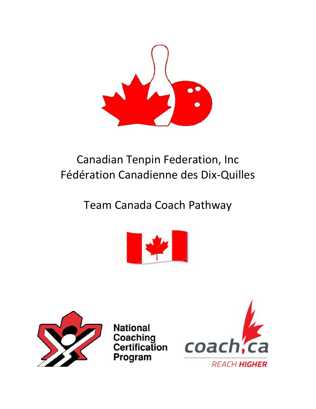

# Canadian Tenpin Federation, Inc Fédération Canadienne des Dix-Quilles

## Team Canada Coach Pathway





**National** Coaching Certification Program

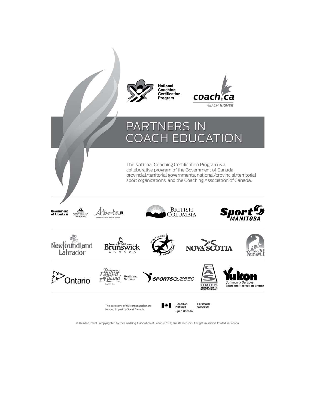

This document is copyrighted by the Coaching Association of Canada (2011) and its licensors. All rights reserved. Printed in Canada.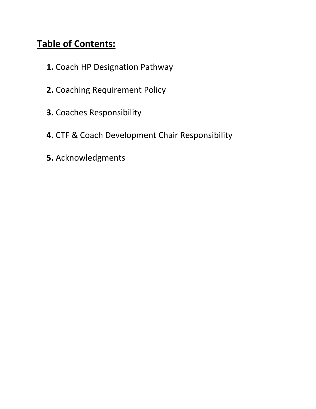#### **Table of Contents:**

- **1.** Coach HP Designation Pathway
- **2.** Coaching Requirement Policy
- **3.** Coaches Responsibility
- **4.** CTF & Coach Development Chair Responsibility
- **5.** Acknowledgments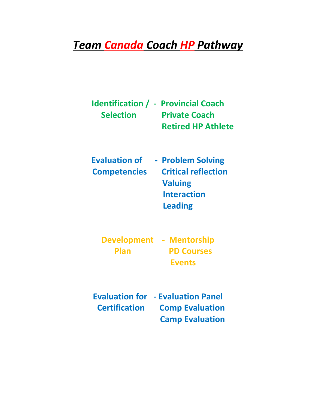## *Team Canada Coach HP Pathway*

|                  | <b>Identification / - Provincial Coach</b> |
|------------------|--------------------------------------------|
| <b>Selection</b> | <b>Private Coach</b>                       |
|                  | <b>Retired HP Athlete</b>                  |

| <b>Evaluation of</b> | - Problem Solving          |
|----------------------|----------------------------|
| <b>Competencies</b>  | <b>Critical reflection</b> |
|                      | <b>Valuing</b>             |
|                      | <b>Interaction</b>         |
|                      |                            |

 **Leading**

|             | Development - Mentorship |
|-------------|--------------------------|
| <b>Plan</b> | <b>PD Courses</b>        |
|             | <b>Events</b>            |

**Evaluation for - Evaluation Panel Certification Comp Evaluation Camp Evaluation**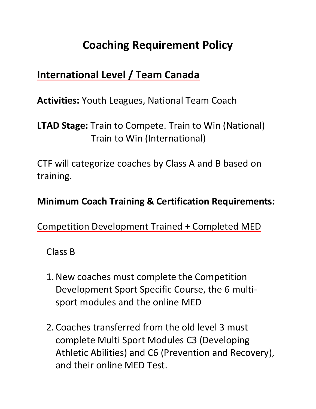## **Coaching Requirement Policy**

### **International Level / Team Canada**

**Activities:** Youth Leagues, National Team Coach

**LTAD Stage:** Train to Compete. Train to Win (National) Train to Win (International)

CTF will categorize coaches by Class A and B based on training.

#### **Minimum Coach Training & Certification Requirements:**

Competition Development Trained + Completed MED

Class B

- 1.New coaches must complete the Competition Development Sport Specific Course, the 6 multisport modules and the online MED
- 2. Coaches transferred from the old level 3 must complete Multi Sport Modules C3 (Developing Athletic Abilities) and C6 (Prevention and Recovery), and their online MED Test.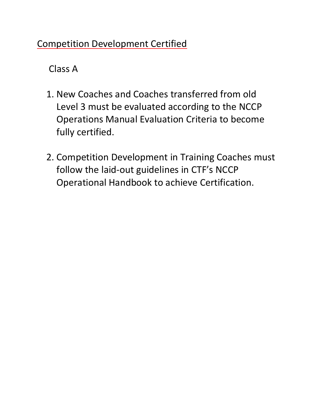#### Competition Development Certified

Class A

- 1. New Coaches and Coaches transferred from old Level 3 must be evaluated according to the NCCP Operations Manual Evaluation Criteria to become fully certified.
- 2. Competition Development in Training Coaches must follow the laid-out guidelines in CTF's NCCP Operational Handbook to achieve Certification.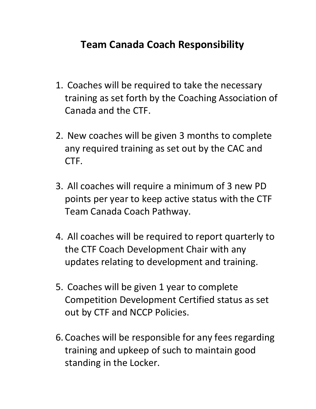### **Team Canada Coach Responsibility**

- 1. Coaches will be required to take the necessary training as set forth by the Coaching Association of Canada and the CTF.
- 2. New coaches will be given 3 months to complete any required training as set out by the CAC and CTF.
- 3. All coaches will require a minimum of 3 new PD points per year to keep active status with the CTF Team Canada Coach Pathway.
- 4. All coaches will be required to report quarterly to the CTF Coach Development Chair with any updates relating to development and training.
- 5. Coaches will be given 1 year to complete Competition Development Certified status as set out by CTF and NCCP Policies.
- 6. Coaches will be responsible for any fees regarding training and upkeep of such to maintain good standing in the Locker.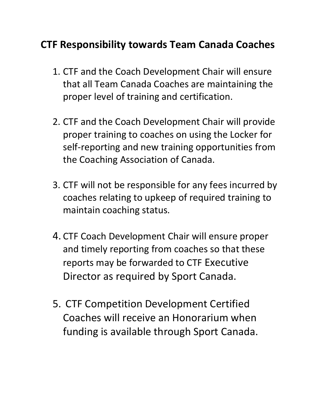### **CTF Responsibility towards Team Canada Coaches**

- 1. CTF and the Coach Development Chair will ensure that all Team Canada Coaches are maintaining the proper level of training and certification.
- 2. CTF and the Coach Development Chair will provide proper training to coaches on using the Locker for self-reporting and new training opportunities from the Coaching Association of Canada.
- 3. CTF will not be responsible for any fees incurred by coaches relating to upkeep of required training to maintain coaching status.
- 4. CTF Coach Development Chair will ensure proper and timely reporting from coaches so that these reports may be forwarded to CTF Executive Director as required by Sport Canada.
- 5. CTF Competition Development Certified Coaches will receive an Honorarium when funding is available through Sport Canada.